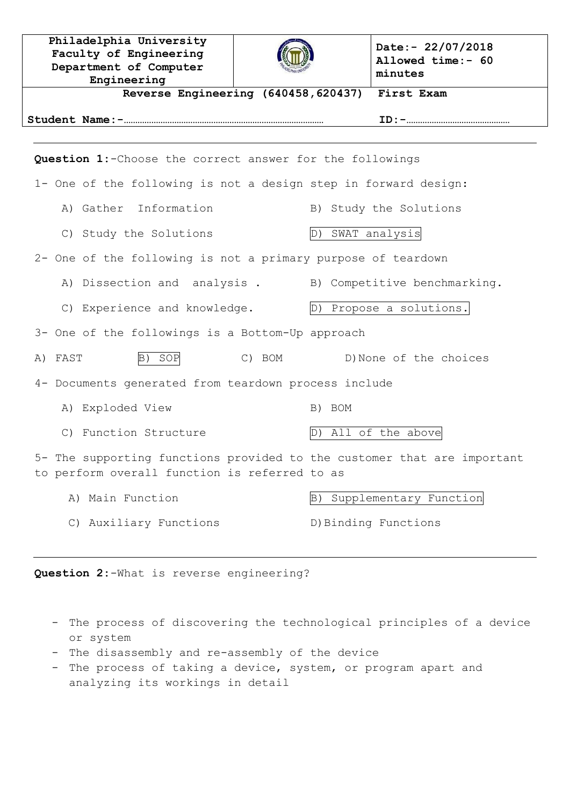| Philadelphia University<br>Faculty of Engineering<br>Department of Computer<br>Engineering                               |        | Date:- $22/07/2018$<br>Allowed time:- 60<br>minutes |  |  |  |
|--------------------------------------------------------------------------------------------------------------------------|--------|-----------------------------------------------------|--|--|--|
| Reverse Engineering (640458, 620437)<br>First Exam                                                                       |        |                                                     |  |  |  |
|                                                                                                                          |        |                                                     |  |  |  |
| Question 1:- Choose the correct answer for the followings                                                                |        |                                                     |  |  |  |
| 1- One of the following is not a design step in forward design:                                                          |        |                                                     |  |  |  |
| A) Gather Information                                                                                                    |        | B) Study the Solutions                              |  |  |  |
| C) Study the Solutions                                                                                                   |        | D) SWAT analysis                                    |  |  |  |
| 2- One of the following is not a primary purpose of teardown                                                             |        |                                                     |  |  |  |
| A) Dissection and analysis. B) Competitive benchmarking.                                                                 |        |                                                     |  |  |  |
| C) Experience and knowledge.                                                                                             |        | D) Propose a solutions.                             |  |  |  |
| 3- One of the followings is a Bottom-Up approach                                                                         |        |                                                     |  |  |  |
| A) FAST<br>SOP<br>$\mathbb{B}$ )                                                                                         | C) BOM | D) None of the choices                              |  |  |  |
| 4- Documents generated from teardown process include                                                                     |        |                                                     |  |  |  |
| A) Exploded View                                                                                                         | B) BOM |                                                     |  |  |  |
| C) Function Structure                                                                                                    | D)     | All of the above                                    |  |  |  |
| 5- The supporting functions provided to the customer that are important<br>to perform overall function is referred to as |        |                                                     |  |  |  |
| A) Main Function                                                                                                         | B)     | Supplementary Function                              |  |  |  |
| C) Auxiliary Functions                                                                                                   |        | D) Binding Functions                                |  |  |  |
|                                                                                                                          |        |                                                     |  |  |  |

**Question 2:**-What is reverse engineering?

- The process of discovering the technological principles of a device or system
- The disassembly and re-assembly of the device
- The process of taking a device, system, or program apart and analyzing its workings in detail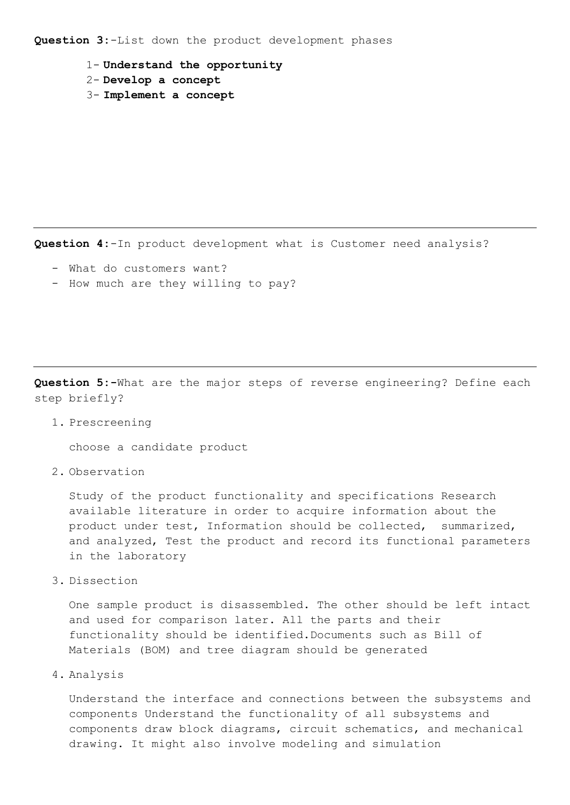**Question 3:**-List down the product development phases

- 1- **Understand the opportunity**
- 2- **Develop a concept**
- 3- **Implement a concept**

**Question 4:**-In product development what is Customer need analysis?

- What do customers want?
- How much are they willing to pay?

**Question 5:-**What are the major steps of reverse engineering? Define each step briefly?

1. Prescreening

choose a candidate product

2. Observation

Study of the product functionality and specifications Research available literature in order to acquire information about the product under test, Information should be collected, summarized, and analyzed, Test the product and record its functional parameters in the laboratory

3. Dissection

One sample product is disassembled. The other should be left intact and used for comparison later. All the parts and their functionality should be identified.Documents such as Bill of Materials (BOM) and tree diagram should be generated

4. Analysis

Understand the interface and connections between the subsystems and components Understand the functionality of all subsystems and components draw block diagrams, circuit schematics, and mechanical drawing. It might also involve modeling and simulation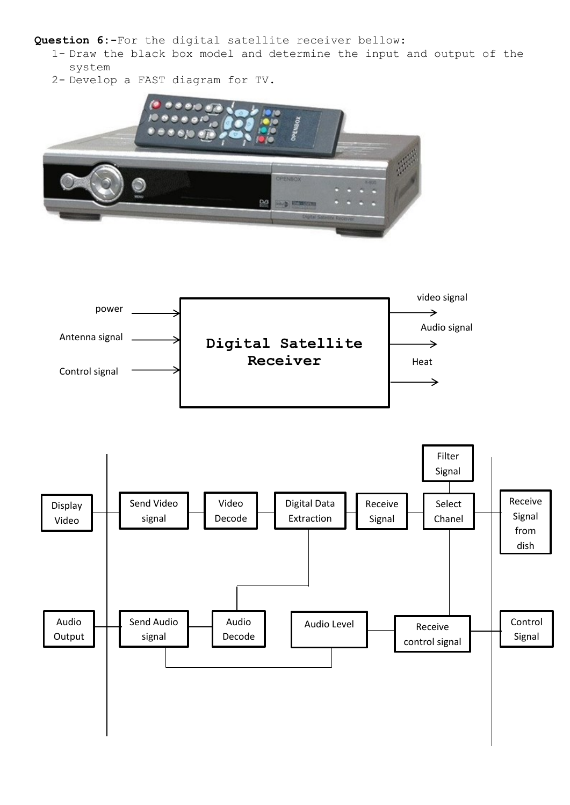**Question 6:-**For the digital satellite receiver bellow:

- 1- Draw the black box model and determine the input and output of the system
- 2- Develop a FAST diagram for TV.



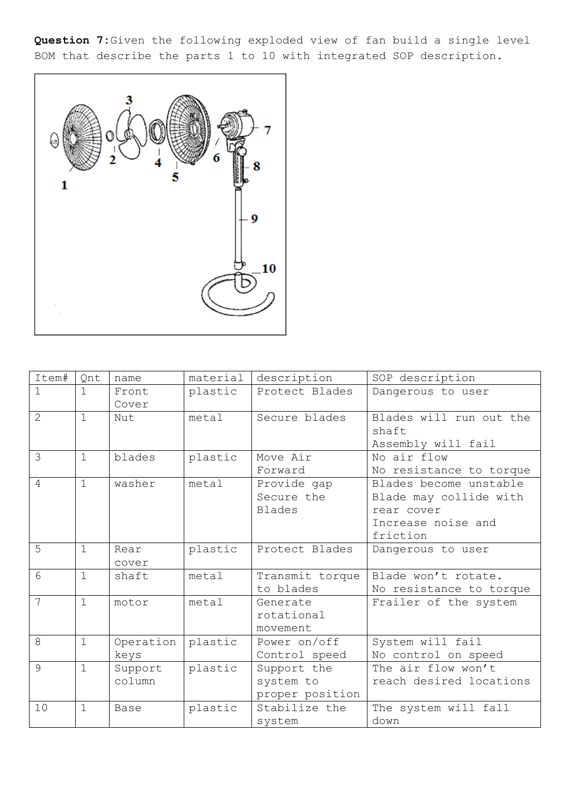**Question 7:**Given the following exploded view of fan build a single level BOM that describe the parts 1 to 10 with integrated SOP description.



| Item#          | Qnt          | name              | material | description                                 | SOP description                                                                                  |
|----------------|--------------|-------------------|----------|---------------------------------------------|--------------------------------------------------------------------------------------------------|
|                | $\mathbf{1}$ | Front<br>Cover    | plastic  | Protect Blades                              | Dangerous to user                                                                                |
| $\overline{2}$ | $\mathbf{1}$ | Nut               | metal    | Secure blades                               | Blades will run out the<br>shaft<br>Assembly will fail                                           |
| 3              | $\mathbf{1}$ | blades            | plastic  | Move Air<br>Forward                         | No air flow<br>No resistance to torque                                                           |
| $\overline{4}$ | $\mathbf{1}$ | washer            | metal    | Provide gap<br>Secure the<br><b>Blades</b>  | Blades become unstable<br>Blade may collide with<br>rear cover<br>Increase noise and<br>friction |
| 5              | $\mathbf{1}$ | Rear<br>cover     | plastic  | Protect Blades                              | Dangerous to user                                                                                |
| 6              | $\mathbf{1}$ | shaft             | metal    | Transmit torque<br>to blades                | Blade won't rotate.<br>No resistance to torque                                                   |
| $\overline{7}$ | $\mathbf{1}$ | motor             | metal    | Generate<br>rotational<br>movement          | Frailer of the system                                                                            |
| 8              | $\mathbf{1}$ | Operation<br>keys | plastic  | Power on/off<br>Control speed               | System will fail<br>No control on speed                                                          |
| 9              | $\mathbf{1}$ | Support<br>column | plastic  | Support the<br>system to<br>proper position | The air flow won't<br>reach desired locations                                                    |
| 10             | $\mathbf 1$  | <b>Base</b>       | plastic  | Stabilize the<br>system                     | The system will fall<br>down                                                                     |